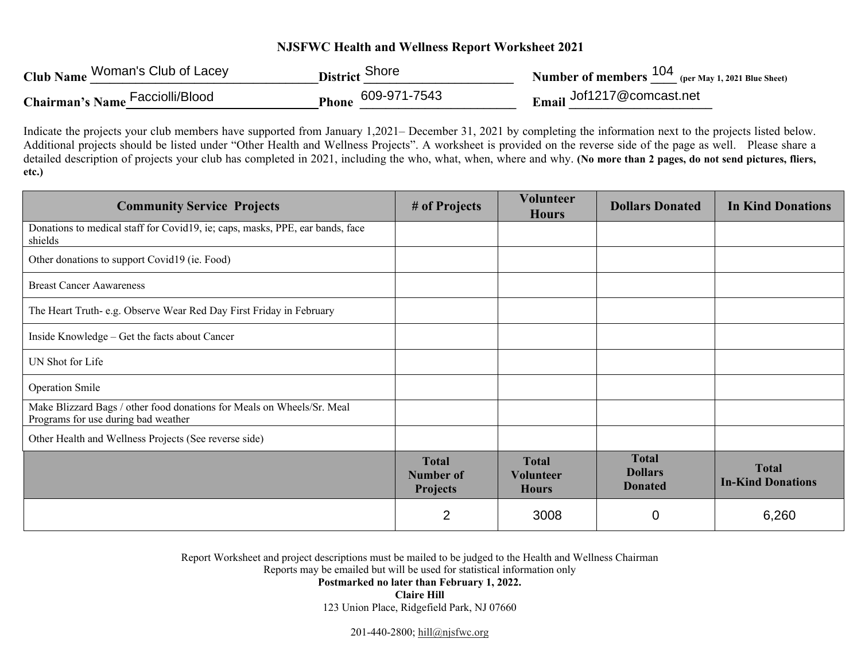## **NJSFWC Health and Wellness Report Worksheet 2021**

| Club Name Woman's Club of Lacey | District Shore     | Number of members 104 (per May 1, 2021 Blue Sheet) |
|---------------------------------|--------------------|----------------------------------------------------|
| Chairman's Name Facciolli/Blood | Phone 609-971-7543 | Email Jof1217@comcast.net                          |

Indicate the projects your club members have supported from January 1,2021– December 31, 2021 by completing the information next to the projects listed below. Additional projects should be listed under "Other Health and Wellness Projects". A worksheet is provided on the reverse side of the page as well. Please share a detailed description of projects your club has completed in 2021, including the who, what, when, where and why. **(No more than 2 pages, do not send pictures, fliers, etc.)**

| <b>Community Service Projects</b>                                                                             | # of Projects                                       | <b>Volunteer</b><br><b>Hours</b>                 | <b>Dollars Donated</b>                           | <b>In Kind Donations</b>                 |
|---------------------------------------------------------------------------------------------------------------|-----------------------------------------------------|--------------------------------------------------|--------------------------------------------------|------------------------------------------|
| Donations to medical staff for Covid19, ie; caps, masks, PPE, ear bands, face<br>shields                      |                                                     |                                                  |                                                  |                                          |
| Other donations to support Covid19 (ie. Food)                                                                 |                                                     |                                                  |                                                  |                                          |
| <b>Breast Cancer Aawareness</b>                                                                               |                                                     |                                                  |                                                  |                                          |
| The Heart Truth-e.g. Observe Wear Red Day First Friday in February                                            |                                                     |                                                  |                                                  |                                          |
| Inside Knowledge - Get the facts about Cancer                                                                 |                                                     |                                                  |                                                  |                                          |
| UN Shot for Life                                                                                              |                                                     |                                                  |                                                  |                                          |
| <b>Operation Smile</b>                                                                                        |                                                     |                                                  |                                                  |                                          |
| Make Blizzard Bags / other food donations for Meals on Wheels/Sr. Meal<br>Programs for use during bad weather |                                                     |                                                  |                                                  |                                          |
| Other Health and Wellness Projects (See reverse side)                                                         |                                                     |                                                  |                                                  |                                          |
|                                                                                                               | <b>Total</b><br><b>Number of</b><br><b>Projects</b> | <b>Total</b><br><b>Volunteer</b><br><b>Hours</b> | <b>Total</b><br><b>Dollars</b><br><b>Donated</b> | <b>Total</b><br><b>In-Kind Donations</b> |
|                                                                                                               | $\overline{2}$                                      | 3008                                             | $\overline{0}$                                   | 6,260                                    |

Report Worksheet and project descriptions must be mailed to be judged to the Health and Wellness Chairman

Reports may be emailed but will be used for statistical information only

**Postmarked no later than February 1, 2022.** 

**Claire Hill** 

123 Union Place, Ridgefield Park, NJ 07660

201-440-2800; hill@njsfwc.org